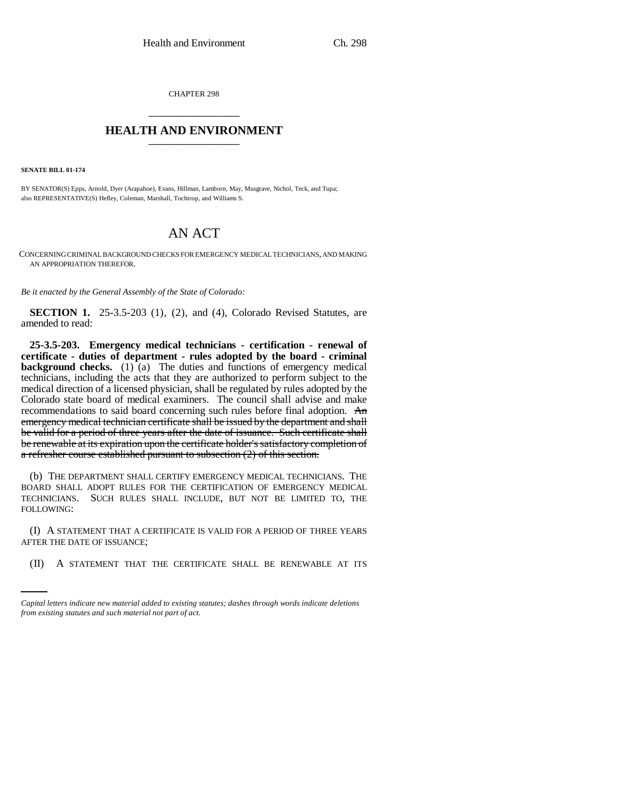CHAPTER 298 \_\_\_\_\_\_\_\_\_\_\_\_\_\_\_

## **HEALTH AND ENVIRONMENT** \_\_\_\_\_\_\_\_\_\_\_\_\_\_\_

**SENATE BILL 01-174**

BY SENATOR(S) Epps, Arnold, Dyer (Arapahoe), Evans, Hillman, Lamborn, May, Musgrave, Nichol, Teck, and Tupa; also REPRESENTATIVE(S) Hefley, Coleman, Marshall, Tochtrop, and Williams S.

## AN ACT

CONCERNING CRIMINAL BACKGROUND CHECKS FOR EMERGENCY MEDICAL TECHNICIANS, AND MAKING AN APPROPRIATION THEREFOR.

*Be it enacted by the General Assembly of the State of Colorado:*

**SECTION 1.** 25-3.5-203 (1), (2), and (4), Colorado Revised Statutes, are amended to read:

**25-3.5-203. Emergency medical technicians - certification - renewal of certificate - duties of department - rules adopted by the board - criminal background checks.** (1) (a) The duties and functions of emergency medical technicians, including the acts that they are authorized to perform subject to the medical direction of a licensed physician, shall be regulated by rules adopted by the Colorado state board of medical examiners. The council shall advise and make recommendations to said board concerning such rules before final adoption. An emergency medical technician certificate shall be issued by the department and shall be valid for a period of three years after the date of issuance. Such certificate shall be renewable at its expiration upon the certificate holder's satisfactory completion of a refresher course established pursuant to subsection (2) of this section.

(b) THE DEPARTMENT SHALL CERTIFY EMERGENCY MEDICAL TECHNICIANS. THE BOARD SHALL ADOPT RULES FOR THE CERTIFICATION OF EMERGENCY MEDICAL TECHNICIANS. SUCH RULES SHALL INCLUDE, BUT NOT BE LIMITED TO, THE FOLLOWING:

AFTER THE DATE OF ISSUANCE; (I) A STATEMENT THAT A CERTIFICATE IS VALID FOR A PERIOD OF THREE YEARS

(II) A STATEMENT THAT THE CERTIFICATE SHALL BE RENEWABLE AT ITS

*Capital letters indicate new material added to existing statutes; dashes through words indicate deletions from existing statutes and such material not part of act.*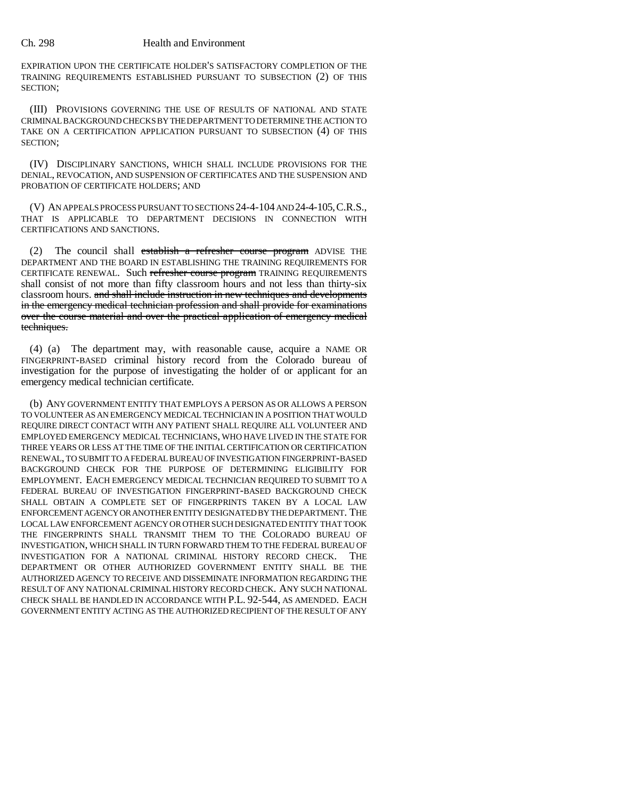## Ch. 298 Health and Environment

EXPIRATION UPON THE CERTIFICATE HOLDER'S SATISFACTORY COMPLETION OF THE TRAINING REQUIREMENTS ESTABLISHED PURSUANT TO SUBSECTION (2) OF THIS SECTION;

(III) PROVISIONS GOVERNING THE USE OF RESULTS OF NATIONAL AND STATE CRIMINAL BACKGROUND CHECKS BY THE DEPARTMENT TO DETERMINE THE ACTION TO TAKE ON A CERTIFICATION APPLICATION PURSUANT TO SUBSECTION (4) OF THIS SECTION;

(IV) DISCIPLINARY SANCTIONS, WHICH SHALL INCLUDE PROVISIONS FOR THE DENIAL, REVOCATION, AND SUSPENSION OF CERTIFICATES AND THE SUSPENSION AND PROBATION OF CERTIFICATE HOLDERS; AND

(V) AN APPEALS PROCESS PURSUANT TO SECTIONS 24-4-104 AND 24-4-105,C.R.S., THAT IS APPLICABLE TO DEPARTMENT DECISIONS IN CONNECTION WITH CERTIFICATIONS AND SANCTIONS.

(2) The council shall establish a refresher course program ADVISE THE DEPARTMENT AND THE BOARD IN ESTABLISHING THE TRAINING REQUIREMENTS FOR CERTIFICATE RENEWAL. Such refresher course program TRAINING REQUIREMENTS shall consist of not more than fifty classroom hours and not less than thirty-six classroom hours. and shall include instruction in new techniques and developments in the emergency medical technician profession and shall provide for examinations over the course material and over the practical application of emergency medical techniques.

(4) (a) The department may, with reasonable cause, acquire a NAME OR FINGERPRINT-BASED criminal history record from the Colorado bureau of investigation for the purpose of investigating the holder of or applicant for an emergency medical technician certificate.

(b) ANY GOVERNMENT ENTITY THAT EMPLOYS A PERSON AS OR ALLOWS A PERSON TO VOLUNTEER AS AN EMERGENCY MEDICAL TECHNICIAN IN A POSITION THAT WOULD REQUIRE DIRECT CONTACT WITH ANY PATIENT SHALL REQUIRE ALL VOLUNTEER AND EMPLOYED EMERGENCY MEDICAL TECHNICIANS, WHO HAVE LIVED IN THE STATE FOR THREE YEARS OR LESS AT THE TIME OF THE INITIAL CERTIFICATION OR CERTIFICATION RENEWAL, TO SUBMIT TO A FEDERAL BUREAU OF INVESTIGATION FINGERPRINT-BASED BACKGROUND CHECK FOR THE PURPOSE OF DETERMINING ELIGIBILITY FOR EMPLOYMENT. EACH EMERGENCY MEDICAL TECHNICIAN REQUIRED TO SUBMIT TO A FEDERAL BUREAU OF INVESTIGATION FINGERPRINT-BASED BACKGROUND CHECK SHALL OBTAIN A COMPLETE SET OF FINGERPRINTS TAKEN BY A LOCAL LAW ENFORCEMENT AGENCY OR ANOTHER ENTITY DESIGNATED BY THE DEPARTMENT. THE LOCAL LAW ENFORCEMENT AGENCY OR OTHER SUCH DESIGNATED ENTITY THAT TOOK THE FINGERPRINTS SHALL TRANSMIT THEM TO THE COLORADO BUREAU OF INVESTIGATION, WHICH SHALL IN TURN FORWARD THEM TO THE FEDERAL BUREAU OF INVESTIGATION FOR A NATIONAL CRIMINAL HISTORY RECORD CHECK. THE DEPARTMENT OR OTHER AUTHORIZED GOVERNMENT ENTITY SHALL BE THE AUTHORIZED AGENCY TO RECEIVE AND DISSEMINATE INFORMATION REGARDING THE RESULT OF ANY NATIONAL CRIMINAL HISTORY RECORD CHECK. ANY SUCH NATIONAL CHECK SHALL BE HANDLED IN ACCORDANCE WITH P.L. 92-544, AS AMENDED. EACH GOVERNMENT ENTITY ACTING AS THE AUTHORIZED RECIPIENT OF THE RESULT OF ANY